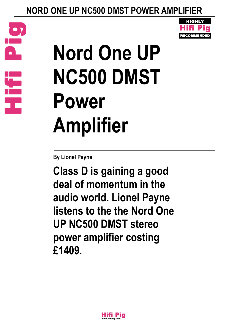





**Class D is gaining a good deal of momentum in the audio world. Lionel Payne listens to the the Nord One UP NC500 DMST stereo power amplifier costing £1409.**



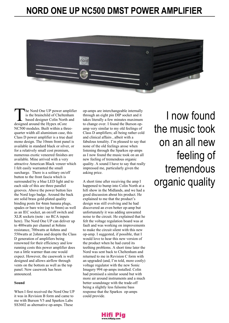

The Nord One UP power am<br>
is the brainchild of Chelter<br>
based designer Colin North<br>
designed around the Hypex nCore he Nord One UP power amplifier is the brainchild of Cheltenham based designer Colin North and NC500 modules. Built within a threequarter width all aluminium case, this Class D power amplifier is a true dual mono design. The 10mm front panel is available in standard black or silver, or for a relatively small cost premium, numerous exotic veneered finishes are available. Mine arrived with a very attractive American Black veneer which I felt easily warranted the small surcharge. There is a solitary on/off button to the front fascia which is surrounded by a blue LED light and to each side of this are three parallel grooves. Above the power button lies the Nord logo badge. Around the back are solid brass gold-plated quality binding posts for 4mm banana plugs, spades or bare wire (up to 8mm) as well as an IEC socket, an on/off switch and XLR sockets (note : no RCA inputs here). The Nord One UP can deliver up to 400watts per channel at 8ohms resistance, 700watts at 4ohms and 550watts at 2ohms and despite the Class D generation of amplifiers being renowned for their efficiency and low running costs this power amplifier does run a little warmer than one would expect. However, the casework is well designed and allows airflow through vents on the bottom as well as the top panel. New casework has been announced.

#### **Sound**

When I first received the Nord One UP it was in Revision B form and came to me with Burson V5 and Sparkos Labs SS3602 as alternative op-amps. These

op-amps are interchangeable internally through an eight pin DIP socket and it takes literally a few minutes maximum to change over. I found the Burson opamp very similar to my old feelings of Class D amplifiers; all being rather cold and clinical affairs , albeit with a fabulous tonality. I'm pleased to say that none of the old feelings arose when listening through the Sparkos op-amps as I now found the music took on an all new feeling of tremendous organic quality. A sound I have to say that really impressed me, particularly given the asking price.

A short time after receiving the amp I happened to bump into Colin North at a hifi show in the Midlands, and we had a good discussion about his product. He explained to me that the product's design was still evolving and he had discovered an even better op-amp but unfortunately it was adding unwanted noise to the circuit. He explained that he felt the voltage regulation board was at fault and was working on improvements to make the circuit silent with this new op-amp. I suggested, if possible, that I would love to hear this new version of the product when he had cured its teething problems. A short time later the Nord was sent back to Cheltenham and returned to me in Revision C form with an upgraded (and, I'm told, more costly) voltage regulator with the new Sonic Imagery 994 op-amps installed. Colin had promised a similar sound but with more air around instruments and a much better soundstage with the trade-off being a slightly less fulsome bass response that the Sparkos op-amps could provide.

I now found the music took on an all new feeling of tremendous organic quality

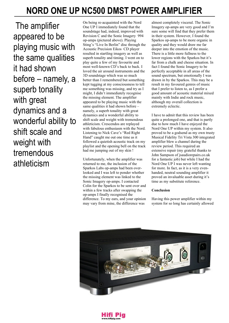The amplifier appeared to be playing music with the same qualities it had shown before – namely, a superb tonality with great dynamics and a wonderful ability to shift scale and weight with tremendous athleticism

On being re-acquainted with the Nord One UP I immediately found that the soundstage had, indeed, improved with Revision C and the Sonic Imagery 994 op-amps (pictured above). Playing Sting's "Live In Berlin" disc through the Acoustic Precision Eikos CD player resulted in startling imagery as well as superb tonality and timing. I went on to play quite a few of my favourite and most well-known CD's back to back. I loved the air around instruments and the 3D soundstage which was so much better than I remembered but something kept tugging at my consciousness to tell me something was missing, and try as I might, I didn't immediately recognise the missing element. The amplifier appeared to be playing music with the same qualities it had shown before – namely, a superb tonality with great dynamics and a wonderful ability to shift scale and weight with tremendous athleticism. Crescendos are replayed with fabulous enthusiasm with the Nord. Listening to Nick Cave's "Red Right Hand" caught me out one time as it followed a quietish acoustic track on my playlist and the opening bell on the track had me jumping out of my skin !

Unfortunately, when the amplifier was returned to me, the inclusion of the Sparkos Labs op-amps had been overlooked and I was left to ponder whether the missing element was linked to the Sonic Imagery op-amps. I contacted Colin for the Sparkos to be sent over and within a few tracks after swapping the op-amps I finally recognised the difference. To my ears, and your opinion may vary from mine, the difference was

almost completely visceral. The Sonic Imagery op-amps are very good and I'm sure some will find that they prefer them in their system. However, I found the Sparkos op-amps to be more organic in quality and they would draw me far deeper into the emotion of the music. There is a little more fullness to the lower regions with the Sparkos but it's far from a chalk and cheese situation. In fact I found the Sonic Imagery to be perfectly acceptable in all areas of the sound spectrum, but emotionally I was drawn in by the Sparkos. This may be a result in my favoured genres of music that I prefer to listen to, as I prefer a good amount of acoustic material mixed mainly with Indie and rock music, although my overall collection is extremely eclectic.

I have to admit that this review has been quite a prolonged one, and that is partly due to how much I have enjoyed the Nord One UP within my system. It also proved to be a godsend as my own trusty Musical Fidelity Tri Vista 300 integrated amplifier blew a channel during the review period. This required an extensive repair (my grateful thanks to John Sampson of jsaudiorepairs.co.uk for a fantastic job) but while I had the Nord One UP I was never left wanting for more. In fact, as it is a very evenhanded, neutral sounding amplifier it proved an invaluable asset during it's time as my substitute reference.

#### **Conclusion**

Having this power amplifier within my system for so long has certainly allowed